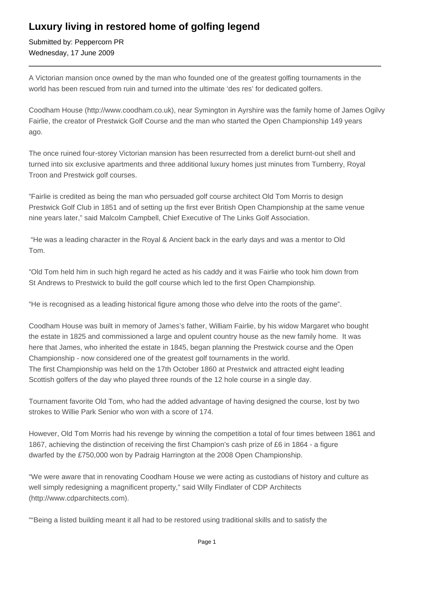## **Luxury living in restored home of golfing legend**

Submitted by: Peppercorn PR Wednesday, 17 June 2009

A Victorian mansion once owned by the man who founded one of the greatest golfing tournaments in the world has been rescued from ruin and turned into the ultimate 'des res' for dedicated golfers.

Coodham House (http://www.coodham.co.uk), near Symington in Ayrshire was the family home of James Ogilvy Fairlie, the creator of Prestwick Golf Course and the man who started the Open Championship 149 years ago.

The once ruined four-storey Victorian mansion has been resurrected from a derelict burnt-out shell and turned into six exclusive apartments and three additional luxury homes just minutes from Turnberry, Royal Troon and Prestwick golf courses.

"Fairlie is credited as being the man who persuaded golf course architect Old Tom Morris to design Prestwick Golf Club in 1851 and of setting up the first ever British Open Championship at the same venue nine years later," said Malcolm Campbell, Chief Executive of The Links Golf Association.

 "He was a leading character in the Royal & Ancient back in the early days and was a mentor to Old Tom.

"Old Tom held him in such high regard he acted as his caddy and it was Fairlie who took him down from St Andrews to Prestwick to build the golf course which led to the first Open Championship.

"He is recognised as a leading historical figure among those who delve into the roots of the game".

Coodham House was built in memory of James's father, William Fairlie, by his widow Margaret who bought the estate in 1825 and commissioned a large and opulent country house as the new family home. It was here that James, who inherited the estate in 1845, began planning the Prestwick course and the Open Championship - now considered one of the greatest golf tournaments in the world. The first Championship was held on the 17th October 1860 at Prestwick and attracted eight leading Scottish golfers of the day who played three rounds of the 12 hole course in a single day.

Tournament favorite Old Tom, who had the added advantage of having designed the course, lost by two strokes to Willie Park Senior who won with a score of 174.

However, Old Tom Morris had his revenge by winning the competition a total of four times between 1861 and 1867, achieving the distinction of receiving the first Champion's cash prize of £6 in 1864 - a figure dwarfed by the £750,000 won by Padraig Harrington at the 2008 Open Championship.

"We were aware that in renovating Coodham House we were acting as custodians of history and culture as well simply redesigning a magnificent property," said Willy Findlater of CDP Architects (http://www.cdparchitects.com).

""Being a listed building meant it all had to be restored using traditional skills and to satisfy the